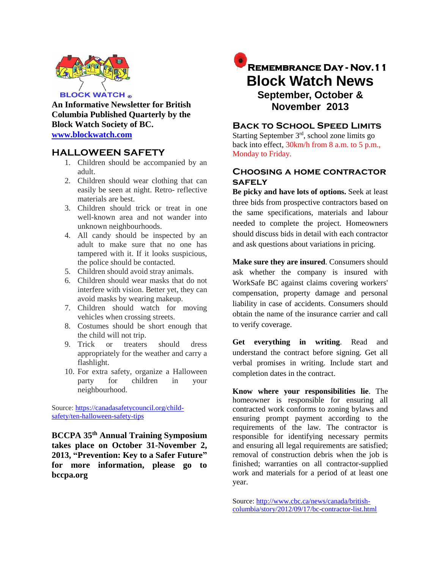

**An Informative Newsletter for British Columbia Published Quarterly by the Block Watch Society of BC. [www.blockwatch.com](http://www.blockwatch.com/)**

# **HALLOWEEN SAFETY**

- 1. Children should be accompanied by an adult.
- 2. Children should wear clothing that can easily be seen at night. Retro- reflective materials are best.
- 3. Children should trick or treat in one well-known area and not wander into unknown neighbourhoods.
- 4. All candy should be inspected by an adult to make sure that no one has tampered with it. If it looks suspicious, the police should be contacted.
- 5. Children should avoid stray animals.
- 6. Children should wear masks that do not interfere with vision. Better yet, they can avoid masks by wearing makeup.
- 7. Children should watch for moving vehicles when crossing streets.
- 8. Costumes should be short enough that the child will not trip.
- 9. Trick or treaters should dress appropriately for the weather and carry a flashlight.
- 10. For extra safety, organize a Halloween party for children in your neighbourhood.

Source: [https://canadasafetycouncil.org/child](https://canadasafetycouncil.org/child-safety/ten-halloween-safety-tips)[safety/ten-halloween-safety-tips](https://canadasafetycouncil.org/child-safety/ten-halloween-safety-tips)

**BCCPA 35th Annual Training Symposium takes place on October 31-November 2, 2013, "Prevention: Key to a Safer Future" for more information, please go to bccpa.org**

# **Remembrance Day - Nov.11 Block Watch News September, October & November 2013**

# **Back to School Speed Limits**

Starting September 3<sup>rd</sup>, school zone limits go back into effect, 30km/h from 8 a.m. to 5 p.m., Monday to Friday.

# **Choosing a home contractor safely**

**Be picky and have lots of options.** Seek at least three bids from prospective contractors based on the same specifications, materials and labour needed to complete the project. Homeowners should discuss bids in detail with each contractor and ask questions about variations in pricing.

**Make sure they are insured**. Consumers should ask whether the company is insured with WorkSafe BC against claims covering workers' compensation, property damage and personal liability in case of accidents. Consumers should obtain the name of the insurance carrier and call to verify coverage.

**Get everything in writing**. Read and understand the contract before signing. Get all verbal promises in writing. Include start and completion dates in the contract.

**Know where your responsibilities lie**. The homeowner is responsible for ensuring all contracted work conforms to zoning bylaws and ensuring prompt payment according to the requirements of the law. The contractor is responsible for identifying necessary permits and ensuring all legal requirements are satisfied; removal of construction debris when the job is finished; warranties on all contractor-supplied work and materials for a period of at least one year.